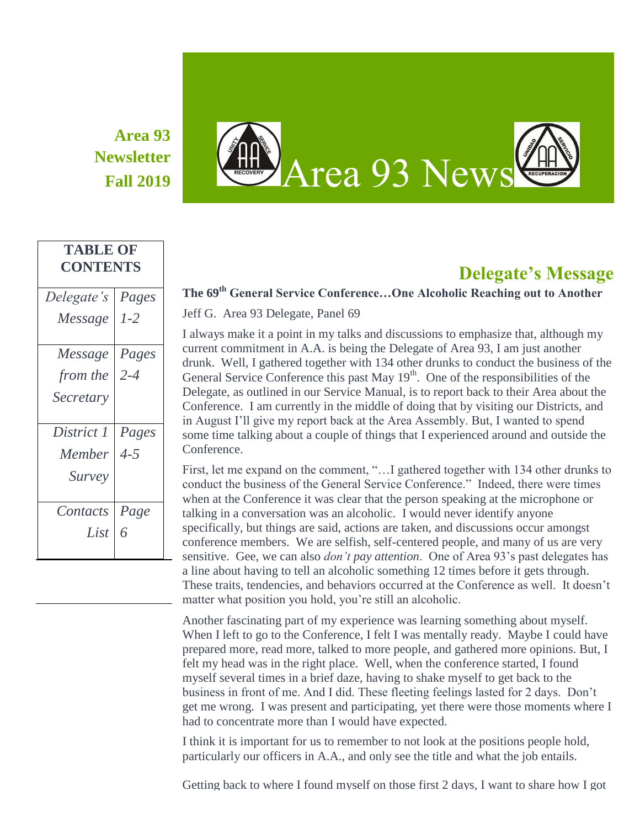# **Area 93 Newsletter**

**TABLE OF CONTENTS**



# **Delegate's Message**

#### *Delegate's Message Pages 1-2 Message from the Secretary Pages 2-4 District 1 Member Survey Pages 4-5 Contacts List Page 6*

### **The 69th General Service Conference…One Alcoholic Reaching out to Another**

Jeff G. Area 93 Delegate, Panel 69

I always make it a point in my talks and discussions to emphasize that, although my current commitment in A.A. is being the Delegate of Area 93, I am just another drunk. Well, I gathered together with 134 other drunks to conduct the business of the General Service Conference this past May  $19<sup>th</sup>$ . One of the responsibilities of the Delegate, as outlined in our Service Manual, is to report back to their Area about the Conference. I am currently in the middle of doing that by visiting our Districts, and in August I'll give my report back at the Area Assembly. But, I wanted to spend some time talking about a couple of things that I experienced around and outside the Conference.

First, let me expand on the comment, "…I gathered together with 134 other drunks to conduct the business of the General Service Conference." Indeed, there were times when at the Conference it was clear that the person speaking at the microphone or talking in a conversation was an alcoholic. I would never identify anyone specifically, but things are said, actions are taken, and discussions occur amongst conference members. We are selfish, self-centered people, and many of us are very sensitive. Gee, we can also *don't pay attention*. One of Area 93's past delegates has a line about having to tell an alcoholic something 12 times before it gets through. These traits, tendencies, and behaviors occurred at the Conference as well. It doesn't matter what position you hold, you're still an alcoholic.

Another fascinating part of my experience was learning something about myself. When I left to go to the Conference, I felt I was mentally ready. Maybe I could have prepared more, read more, talked to more people, and gathered more opinions. But, I felt my head was in the right place. Well, when the conference started, I found myself several times in a brief daze, having to shake myself to get back to the business in front of me. And I did. These fleeting feelings lasted for 2 days. Don't get me wrong. I was present and participating, yet there were those moments where I had to concentrate more than I would have expected.

I think it is important for us to remember to not look at the positions people hold, particularly our officers in A.A., and only see the title and what the job entails.

Getting back to where I found myself on those first 2 days, I want to share how I got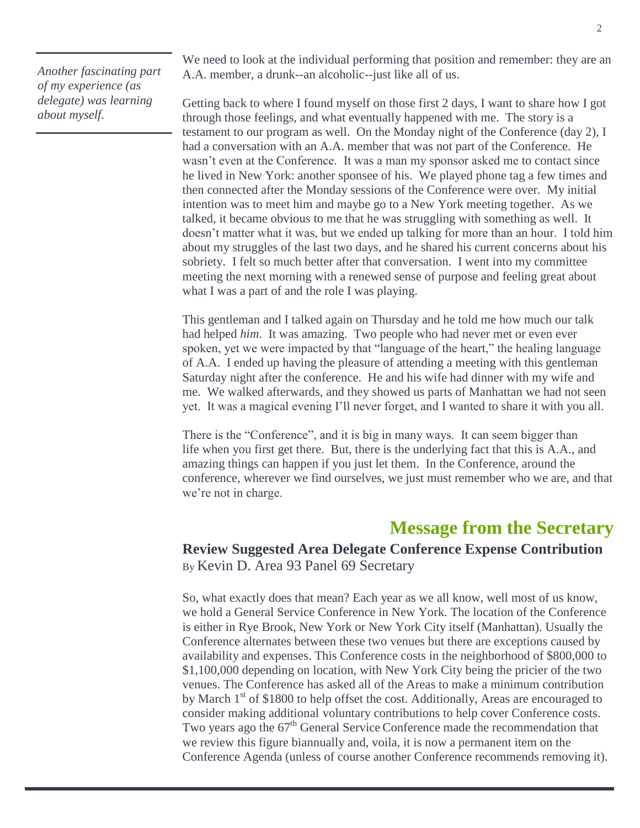*Another fascinating part of my experience (as delegate) was learning about myself.*

We need to look at the individual performing that position and remember: they are an A.A. member, a drunk--an alcoholic--just like all of us.

Getting back to where I found myself on those first 2 days, I want to share how I got through those feelings, and what eventually happened with me. The story is a testament to our program as well. On the Monday night of the Conference (day 2), I had a conversation with an A.A. member that was not part of the Conference. He wasn't even at the Conference. It was a man my sponsor asked me to contact since he lived in New York: another sponsee of his. We played phone tag a few times and then connected after the Monday sessions of the Conference were over. My initial intention was to meet him and maybe go to a New York meeting together. As we talked, it became obvious to me that he was struggling with something as well. It doesn't matter what it was, but we ended up talking for more than an hour. I told him about my struggles of the last two days, and he shared his current concerns about his sobriety. I felt so much better after that conversation. I went into my committee meeting the next morning with a renewed sense of purpose and feeling great about what I was a part of and the role I was playing.

This gentleman and I talked again on Thursday and he told me how much our talk had helped *him*. It was amazing. Two people who had never met or even ever spoken, yet we were impacted by that "language of the heart," the healing language of A.A. I ended up having the pleasure of attending a meeting with this gentleman Saturday night after the conference. He and his wife had dinner with my wife and me. We walked afterwards, and they showed us parts of Manhattan we had not seen yet. It was a magical evening I'll never forget, and I wanted to share it with you all.

There is the "Conference", and it is big in many ways. It can seem bigger than life when you first get there. But, there is the underlying fact that this is A.A., and amazing things can happen if you just let them. In the Conference, around the conference, wherever we find ourselves, we just must remember who we are, and that we're not in charge.

## **Message from the Secretary**

**Review Suggested Area Delegate Conference Expense Contribution** By Kevin D. Area 93 Panel 69 Secretary

So, what exactly does that mean? Each year as we all know, well most of us know, we hold a General Service Conference in New York. The location of the Conference is either in Rye Brook, New York or New York City itself (Manhattan). Usually the Conference alternates between these two venues but there are exceptions caused by availability and expenses. This Conference costs in the neighborhood of \$800,000 to \$1,100,000 depending on location, with New York City being the pricier of the two venues. The Conference has asked all of the Areas to make a minimum contribution by March 1<sup>st</sup> of \$1800 to help offset the cost. Additionally, Areas are encouraged to consider making additional voluntary contributions to help cover Conference costs. Two years ago the 67<sup>th</sup> General Service Conference made the recommendation that we review this figure biannually and, voila, it is now a permanent item on the Conference Agenda (unless of course another Conference recommends removing it).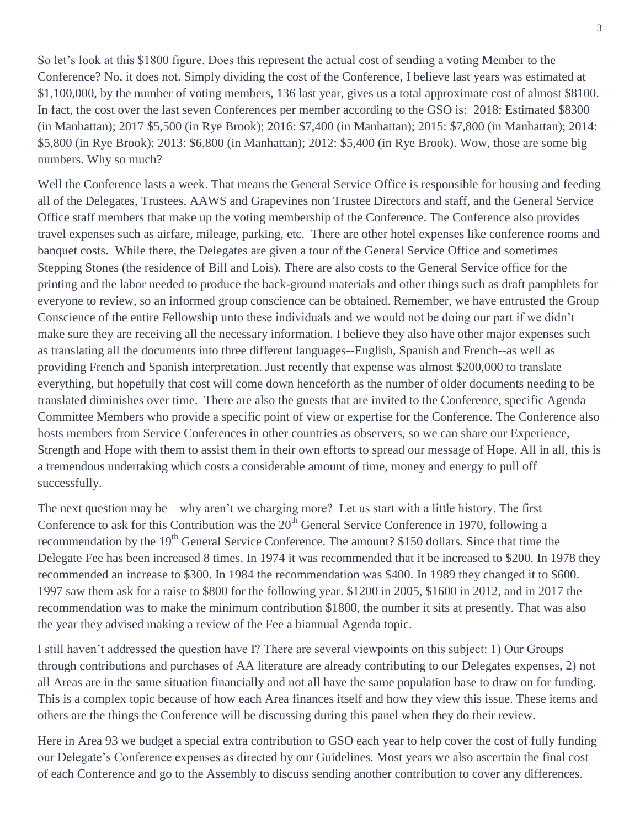So let's look at this \$1800 figure. Does this represent the actual cost of sending a voting Member to the Conference? No, it does not. Simply dividing the cost of the Conference, I believe last years was estimated at \$1,100,000, by the number of voting members, 136 last year, gives us a total approximate cost of almost \$8100. In fact, the cost over the last seven Conferences per member according to the GSO is: 2018: Estimated \$8300 (in Manhattan); 2017 \$5,500 (in Rye Brook); 2016: \$7,400 (in Manhattan); 2015: \$7,800 (in Manhattan); 2014: \$5,800 (in Rye Brook); 2013: \$6,800 (in Manhattan); 2012: \$5,400 (in Rye Brook). Wow, those are some big numbers. Why so much?

Well the Conference lasts a week. That means the General Service Office is responsible for housing and feeding all of the Delegates, Trustees, AAWS and Grapevines non Trustee Directors and staff, and the General Service Office staff members that make up the voting membership of the Conference. The Conference also provides travel expenses such as airfare, mileage, parking, etc. There are other hotel expenses like conference rooms and banquet costs. While there, the Delegates are given a tour of the General Service Office and sometimes Stepping Stones (the residence of Bill and Lois). There are also costs to the General Service office for the printing and the labor needed to produce the back-ground materials and other things such as draft pamphlets for everyone to review, so an informed group conscience can be obtained. Remember, we have entrusted the Group Conscience of the entire Fellowship unto these individuals and we would not be doing our part if we didn't make sure they are receiving all the necessary information. I believe they also have other major expenses such as translating all the documents into three different languages--English, Spanish and French--as well as providing French and Spanish interpretation. Just recently that expense was almost \$200,000 to translate everything, but hopefully that cost will come down henceforth as the number of older documents needing to be translated diminishes over time. There are also the guests that are invited to the Conference, specific Agenda Committee Members who provide a specific point of view or expertise for the Conference. The Conference also hosts members from Service Conferences in other countries as observers, so we can share our Experience, Strength and Hope with them to assist them in their own efforts to spread our message of Hope. All in all, this is a tremendous undertaking which costs a considerable amount of time, money and energy to pull off successfully.

The next question may be – why aren't we charging more? Let us start with a little history. The first Conference to ask for this Contribution was the  $20<sup>th</sup>$  General Service Conference in 1970, following a recommendation by the 19<sup>th</sup> General Service Conference. The amount? \$150 dollars. Since that time the Delegate Fee has been increased 8 times. In 1974 it was recommended that it be increased to \$200. In 1978 they recommended an increase to \$300. In 1984 the recommendation was \$400. In 1989 they changed it to \$600. 1997 saw them ask for a raise to \$800 for the following year. \$1200 in 2005, \$1600 in 2012, and in 2017 the recommendation was to make the minimum contribution \$1800, the number it sits at presently. That was also the year they advised making a review of the Fee a biannual Agenda topic.

I still haven't addressed the question have I? There are several viewpoints on this subject: 1) Our Groups through contributions and purchases of AA literature are already contributing to our Delegates expenses, 2) not all Areas are in the same situation financially and not all have the same population base to draw on for funding. This is a complex topic because of how each Area finances itself and how they view this issue. These items and others are the things the Conference will be discussing during this panel when they do their review.

Here in Area 93 we budget a special extra contribution to GSO each year to help cover the cost of fully funding our Delegate's Conference expenses as directed by our Guidelines. Most years we also ascertain the final cost of each Conference and go to the Assembly to discuss sending another contribution to cover any differences.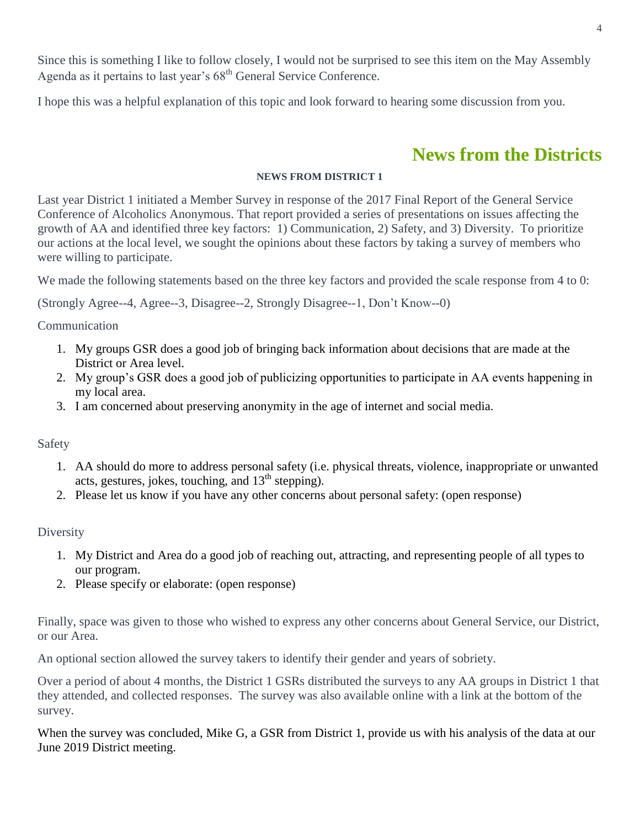Since this is something I like to follow closely, I would not be surprised to see this item on the May Assembly Agenda as it pertains to last year's 68<sup>th</sup> General Service Conference.

I hope this was a helpful explanation of this topic and look forward to hearing some discussion from you.

# **News from the Districts**

#### **NEWS FROM DISTRICT 1**

Last year District 1 initiated a Member Survey in response of the 2017 Final Report of the General Service Conference of Alcoholics Anonymous. That report provided a series of presentations on issues affecting the growth of AA and identified three key factors: 1) Communication, 2) Safety, and 3) Diversity. To prioritize our actions at the local level, we sought the opinions about these factors by taking a survey of members who were willing to participate.

We made the following statements based on the three key factors and provided the scale response from 4 to 0:

(Strongly Agree--4, Agree--3, Disagree--2, Strongly Disagree--1, Don't Know--0)

Communication

- 1. My groups GSR does a good job of bringing back information about decisions that are made at the District or Area level.
- 2. My group's GSR does a good job of publicizing opportunities to participate in AA events happening in my local area.
- 3. I am concerned about preserving anonymity in the age of internet and social media.

#### Safety

- 1. AA should do more to address personal safety (i.e. physical threats, violence, inappropriate or unwanted acts, gestures, jokes, touching, and  $13<sup>th</sup>$  stepping).
- 2. Please let us know if you have any other concerns about personal safety: (open response)

**Diversity** 

- 1. My District and Area do a good job of reaching out, attracting, and representing people of all types to our program.
- 2. Please specify or elaborate: (open response)

Finally, space was given to those who wished to express any other concerns about General Service, our District, or our Area.

An optional section allowed the survey takers to identify their gender and years of sobriety.

Over a period of about 4 months, the District 1 GSRs distributed the surveys to any AA groups in District 1 that they attended, and collected responses. The survey was also available online with a link at the bottom of the survey.

When the survey was concluded, Mike G, a GSR from District 1, provide us with his analysis of the data at our June 2019 District meeting.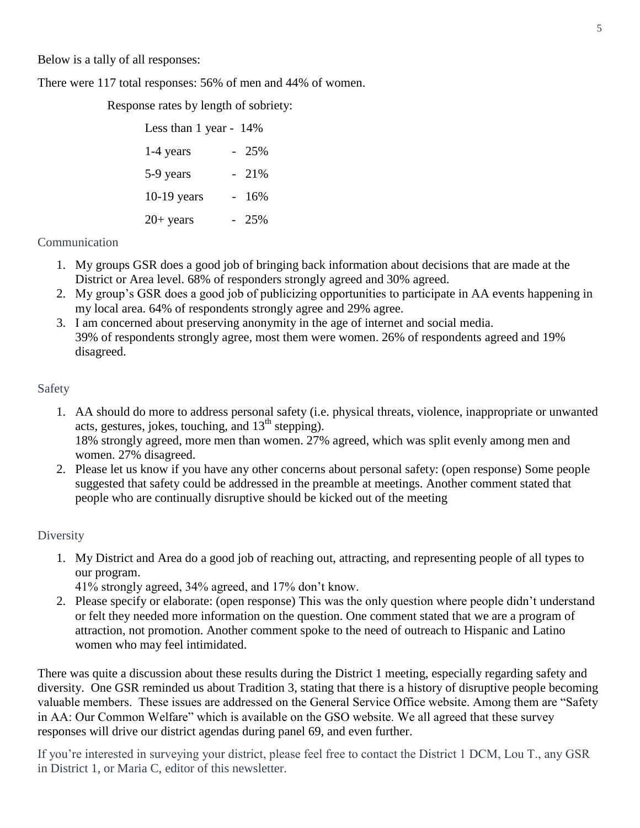Below is a tally of all responses:

There were 117 total responses: 56% of men and 44% of women.

Response rates by length of sobriety:

| Less than 1 year - 14% |  |        |
|------------------------|--|--------|
| 1-4 years              |  | $-25%$ |
| 5-9 years              |  | 21%    |
| $10-19$ years          |  | 16%    |
| $20+$ years            |  | 25%    |

#### Communication

- 1. My groups GSR does a good job of bringing back information about decisions that are made at the District or Area level. 68% of responders strongly agreed and 30% agreed.
- 2. My group's GSR does a good job of publicizing opportunities to participate in AA events happening in my local area. 64% of respondents strongly agree and 29% agree.
- 3. I am concerned about preserving anonymity in the age of internet and social media. 39% of respondents strongly agree, most them were women. 26% of respondents agreed and 19% disagreed.

#### Safety

- 1. AA should do more to address personal safety (i.e. physical threats, violence, inappropriate or unwanted acts, gestures, jokes, touching, and  $13<sup>th</sup>$  stepping). 18% strongly agreed, more men than women. 27% agreed, which was split evenly among men and women. 27% disagreed.
- 2. Please let us know if you have any other concerns about personal safety: (open response) Some people suggested that safety could be addressed in the preamble at meetings. Another comment stated that people who are continually disruptive should be kicked out of the meeting

#### **Diversity**

- 1. My District and Area do a good job of reaching out, attracting, and representing people of all types to our program.
	- 41% strongly agreed, 34% agreed, and 17% don't know.
- 2. Please specify or elaborate: (open response) This was the only question where people didn't understand or felt they needed more information on the question. One comment stated that we are a program of attraction, not promotion. Another comment spoke to the need of outreach to Hispanic and Latino women who may feel intimidated.

There was quite a discussion about these results during the District 1 meeting, especially regarding safety and diversity. One GSR reminded us about Tradition 3, stating that there is a history of disruptive people becoming valuable members. These issues are addressed on the General Service Office website. Among them are "Safety in AA: Our Common Welfare" which is available on the GSO website. We all agreed that these survey responses will drive our district agendas during panel 69, and even further.

If you're interested in surveying your district, please feel free to contact the District 1 DCM, Lou T., any GSR in District 1, or Maria C, editor of this newsletter.